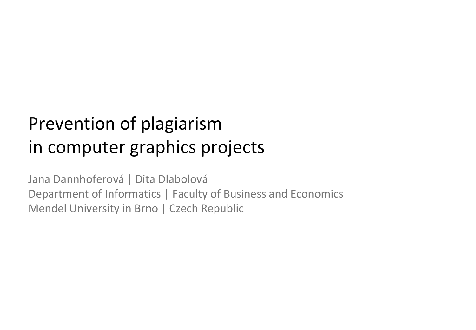# Prevention of plagiarism in computer graphics projects

Jana Dannhoferová | Dita Dlabolová Department of Informatics | Faculty of Business and Economics Mendel University in Brno | Czech Republic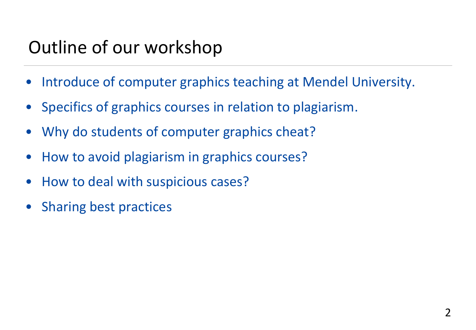# Outline of our workshop

- Introduce of computer graphics teaching at Mendel University.
- Specifics of graphics courses in relation to plagiarism.
- Why do students of computer graphics cheat?
- How to avoid plagiarism in graphics courses?
- How to deal with suspicious cases?
- Sharing best practices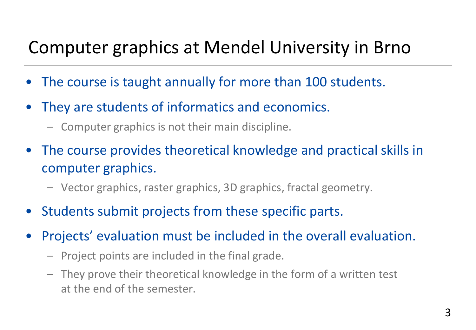## Computer graphics at Mendel University in Brno

- The course is taught annually for more than 100 students.
- They are students of informatics and economics.
	- Computer graphics is not their main discipline.
- The course provides theoretical knowledge and practical skills in computer graphics.
	- Vector graphics, raster graphics, 3D graphics, fractal geometry.
- Students submit projects from these specific parts.
- Projects' evaluation must be included in the overall evaluation.
	- Project points are included in the final grade.
	- They prove their theoretical knowledge in the form of a written test at the end of the semester.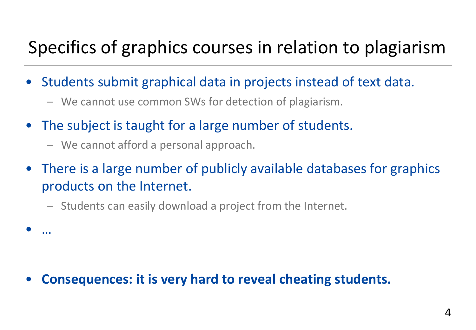## Specifics of graphics courses in relation to plagiarism

- Students submit graphical data in projects instead of text data.
	- We cannot use common SWs for detection of plagiarism.
- The subject is taught for a large number of students.
	- We cannot afford a personal approach.

• …

- There is a large number of publicly available databases for graphics products on the Internet.
	- Students can easily download a project from the Internet.

#### • **Consequences: it is very hard to reveal cheating students.**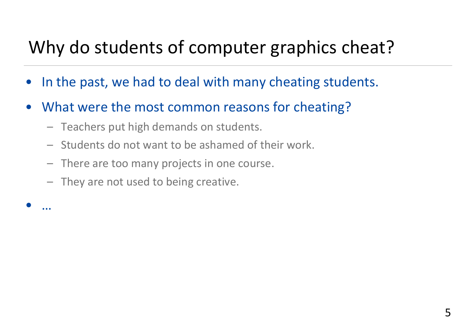## Why do students of computer graphics cheat?

- In the past, we had to deal with many cheating students.
- What were the most common reasons for cheating?
	- Teachers put high demands on students.
	- Students do not want to be ashamed of their work.
	- There are too many projects in one course.
	- They are not used to being creative.

• …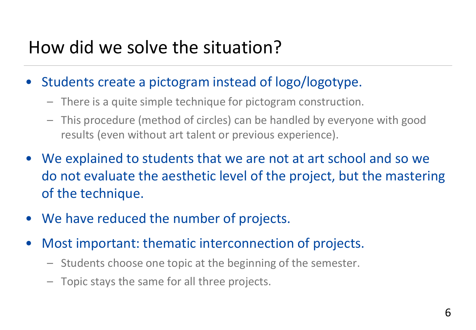## How did we solve the situation?

- Students create a pictogram instead of logo/logotype.
	- There is a quite simple technique for pictogram construction.
	- This procedure (method of circles) can be handled by everyone with good results (even without art talent or previous experience).
- We explained to students that we are not at art school and so we do not evaluate the aesthetic level of the project, but the mastering of the technique.
- We have reduced the number of projects.
- Most important: thematic interconnection of projects.
	- Students choose one topic at the beginning of the semester.
	- Topic stays the same for all three projects.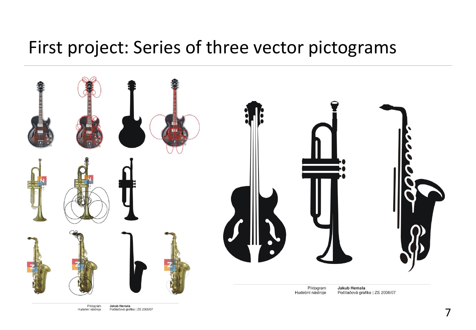#### First project: Series of three vector pictograms



Piktogram Jakub Hemala Počítačová grafika | ZS 2006/07 Hudební nástroje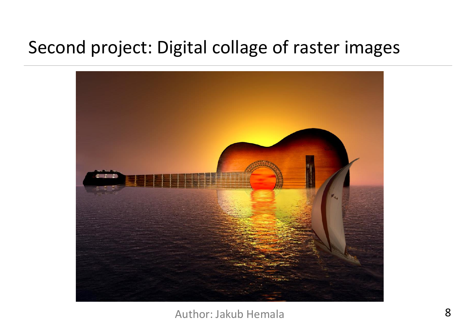## Second project: Digital collage of raster images



#### Author: Jakub Hemala 8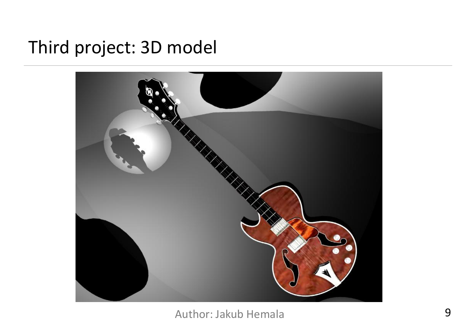#### Third project: 3D model



Author: Jakub Hemala 9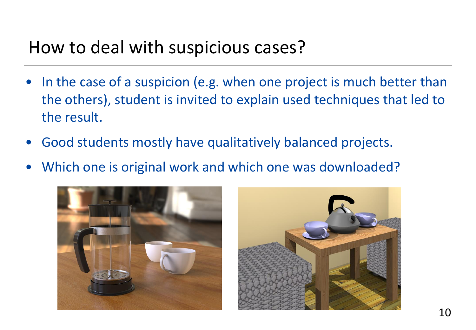## How to deal with suspicious cases?

- In the case of a suspicion (e.g. when one project is much better than the others), student is invited to explain used techniques that led to the result.
- Good students mostly have qualitatively balanced projects.
- Which one is original work and which one was downloaded?



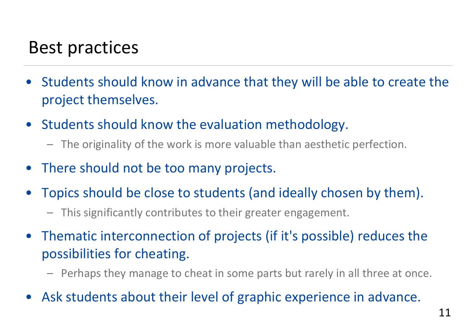## Best practices

- Students should know in advance that they will be able to create the project themselves.
- Students should know the evaluation methodology.
	- The originality of the work is more valuable than aesthetic perfection.
- There should not be too many projects.
- Topics should be close to students (and ideally chosen by them).
	- This significantly contributes to their greater engagement.
- Thematic interconnection of projects (if it's possible) reduces the possibilities for cheating.
	- Perhaps they manage to cheat in some parts but rarely in all three at once.
- Ask students about their level of graphic experience in advance.